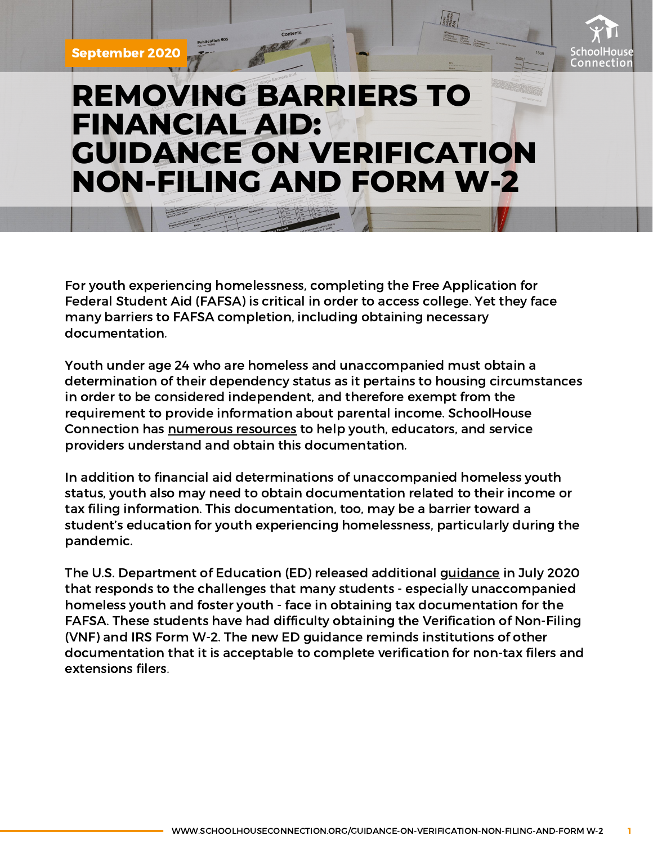September 2020



## **REMOVING BARRIERS TO FINANCIAL AID: GUIDANCE ON VERIFICATION NON-FILING AND FORM W-2**

For youth experiencing homelessness, completing the Free Application for Federal Student Aid (FAFSA) is critical in order to access college. Yet they face many barriers to FAFSA completion, including obtaining necessary documentation.

Youth under age 24 who are homeless and unaccompanied must obtain a determination of their dependency status as it pertains to housing circumstances in order to be considered independent, and therefore exempt from the requirement to provide information about parental income. SchoolHouse Connection has [numerous](https://www.schoolhouseconnection.org/financial-aid-for-unaccompanied-homeless-youth/) resources to help youth, educators, and service providers understand and obtain this documentation.

In addition to financial aid determinations of unaccompanied homeless youth status, youth also may need to obtain documentation related to their income or tax filing information. This documentation, too, may be a barrier toward a student's education for youth experiencing homelessness, particularly during the pandemic.

The U.S. Department of Education (ED) released additional [guidance](https://ifap.ed.gov/electronic-announcements/070920AltAcceptDocCompleteIRSVNFW2ProfJudgmentCOVID) in July 2020 that responds to the challenges that many students - especially unaccompanied homeless youth and foster youth - face in obtaining tax documentation for the FAFSA. These students have had difficulty obtaining the Verification of Non-Filing (VNF) and IRS Form W-2. The new ED guidance reminds institutions of other documentation that it is acceptable to complete verification for non-tax filers and extensions filers.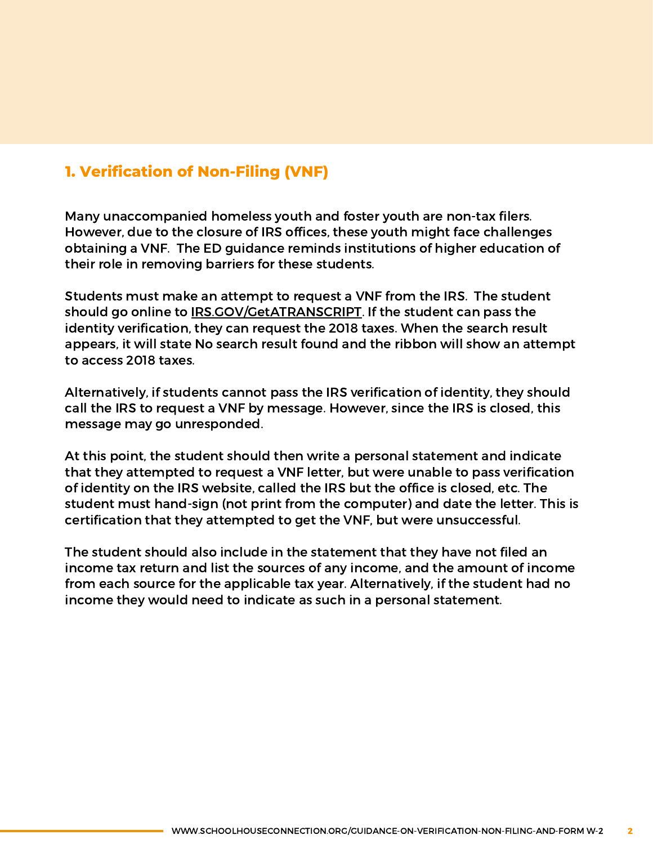## **1. Verification of Non-Filing (VNF)**

Many unaccompanied homeless youth and foster youth are non-tax filers. However, due to the closure of IRS offices, these youth might face challenges obtaining a VNF. The ED guidance reminds institutions of higher education of their role in removing barriers for these students.

Students must make an attempt to request a VNF from the IRS. The student should go online to **[IRS.GOV/GetATRANSCRIPT](http://irs.gov/GetATRANSCRIPT)**. If the student can pass the identity verification, they can request the 2018 taxes. When the search result appears, it will state No search result found and the ribbon will show an attempt to access 2018 taxes.

Alternatively, if students cannot pass the IRS verification of identity, they should call the IRS to request a VNF by message. However, since the IRS is closed, this message may go unresponded.

At this point, the student should then write a personal statement and indicate that they attempted to request a VNF letter, but were unable to pass verification of identity on the IRS website, called the IRS but the office is closed, etc. The student must hand-sign (not print from the computer) and date the letter. This is certification that they attempted to get the VNF, but were unsuccessful.

The student should also include in the statement that they have not filed an income tax return and list the sources of any income, and the amount of income from each source for the applicable tax year. Alternatively, if the student had no income they would need to indicate as such in a personal statement.